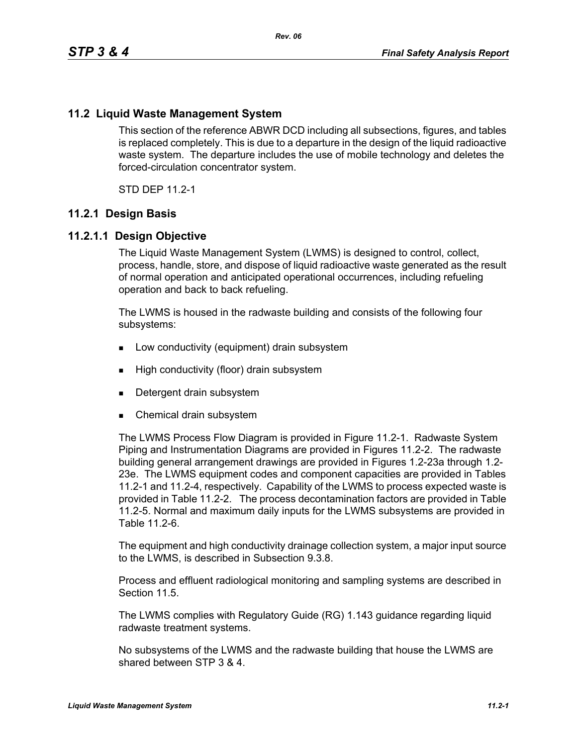# **11.2 Liquid Waste Management System**

This section of the reference ABWR DCD including all subsections, figures, and tables is replaced completely. This is due to a departure in the design of the liquid radioactive waste system. The departure includes the use of mobile technology and deletes the forced-circulation concentrator system.

STD DEP 11.2-1

#### **11.2.1 Design Basis**

#### **11.2.1.1 Design Objective**

The Liquid Waste Management System (LWMS) is designed to control, collect, process, handle, store, and dispose of liquid radioactive waste generated as the result of normal operation and anticipated operational occurrences, including refueling operation and back to back refueling.

The LWMS is housed in the radwaste building and consists of the following four subsystems:

- **Low conductivity (equipment) drain subsystem**
- **High conductivity (floor) drain subsystem**
- Detergent drain subsystem
- Chemical drain subsystem

The LWMS Process Flow Diagram is provided in Figure 11.2-1. Radwaste System Piping and Instrumentation Diagrams are provided in Figures 11.2-2. The radwaste building general arrangement drawings are provided in Figures 1.2-23a through 1.2- 23e. The LWMS equipment codes and component capacities are provided in Tables 11.2-1 and 11.2-4, respectively. Capability of the LWMS to process expected waste is provided in Table 11.2-2. The process decontamination factors are provided in Table 11.2-5. Normal and maximum daily inputs for the LWMS subsystems are provided in Table 11.2-6.

The equipment and high conductivity drainage collection system, a major input source to the LWMS, is described in Subsection 9.3.8.

Process and effluent radiological monitoring and sampling systems are described in Section 11.5

The LWMS complies with Regulatory Guide (RG) 1.143 guidance regarding liquid radwaste treatment systems.

No subsystems of the LWMS and the radwaste building that house the LWMS are shared between STP 3 & 4.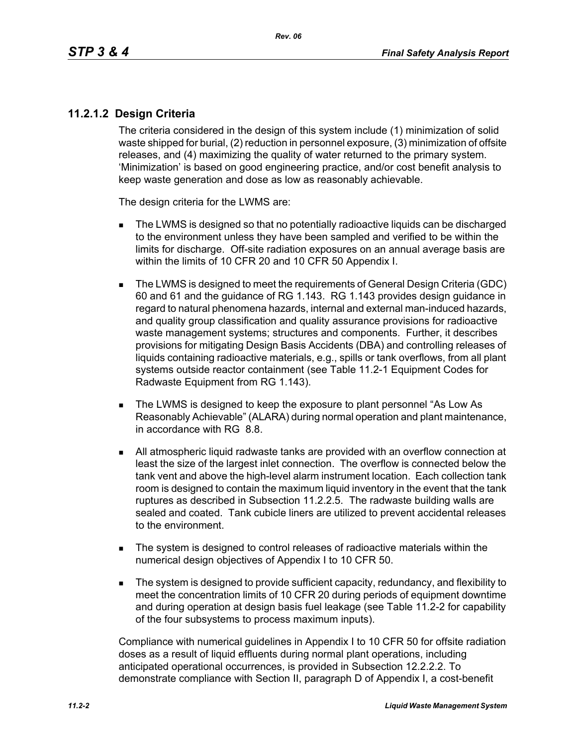# **11.2.1.2 Design Criteria**

The criteria considered in the design of this system include (1) minimization of solid waste shipped for burial, (2) reduction in personnel exposure, (3) minimization of offsite releases, and (4) maximizing the quality of water returned to the primary system. 'Minimization' is based on good engineering practice, and/or cost benefit analysis to keep waste generation and dose as low as reasonably achievable.

The design criteria for the LWMS are:

- The LWMS is designed so that no potentially radioactive liquids can be discharged to the environment unless they have been sampled and verified to be within the limits for discharge. Off-site radiation exposures on an annual average basis are within the limits of 10 CFR 20 and 10 CFR 50 Appendix I.
- The LWMS is designed to meet the requirements of General Design Criteria (GDC) 60 and 61 and the guidance of RG 1.143. RG 1.143 provides design guidance in regard to natural phenomena hazards, internal and external man-induced hazards, and quality group classification and quality assurance provisions for radioactive waste management systems; structures and components. Further, it describes provisions for mitigating Design Basis Accidents (DBA) and controlling releases of liquids containing radioactive materials, e.g., spills or tank overflows, from all plant systems outside reactor containment (see Table 11.2-1 Equipment Codes for Radwaste Equipment from RG 1.143).
- The LWMS is designed to keep the exposure to plant personnel "As Low As Reasonably Achievable" (ALARA) during normal operation and plant maintenance, in accordance with RG 8.8.
- All atmospheric liquid radwaste tanks are provided with an overflow connection at least the size of the largest inlet connection. The overflow is connected below the tank vent and above the high-level alarm instrument location. Each collection tank room is designed to contain the maximum liquid inventory in the event that the tank ruptures as described in Subsection 11.2.2.5. The radwaste building walls are sealed and coated. Tank cubicle liners are utilized to prevent accidental releases to the environment.
- The system is designed to control releases of radioactive materials within the numerical design objectives of Appendix I to 10 CFR 50.
- The system is designed to provide sufficient capacity, redundancy, and flexibility to meet the concentration limits of 10 CFR 20 during periods of equipment downtime and during operation at design basis fuel leakage (see Table 11.2-2 for capability of the four subsystems to process maximum inputs).

Compliance with numerical guidelines in Appendix I to 10 CFR 50 for offsite radiation doses as a result of liquid effluents during normal plant operations, including anticipated operational occurrences, is provided in Subsection 12.2.2.2. To demonstrate compliance with Section II, paragraph D of Appendix I, a cost-benefit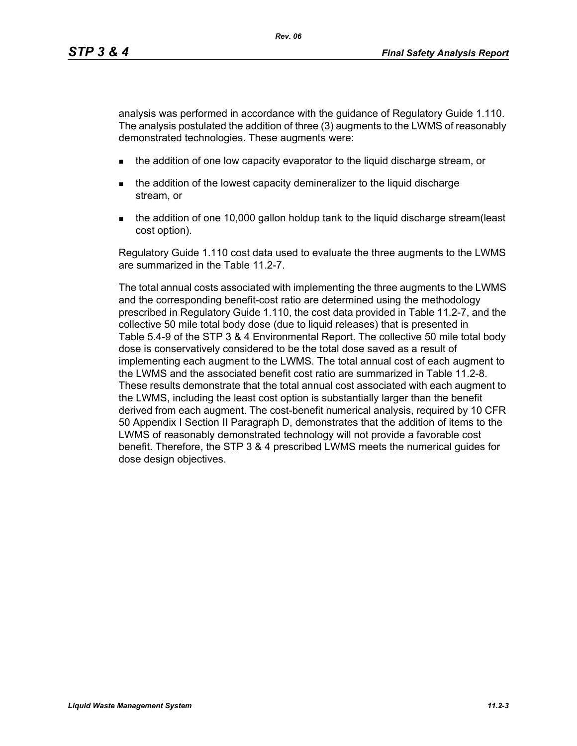analysis was performed in accordance with the guidance of Regulatory Guide 1.110. The analysis postulated the addition of three (3) augments to the LWMS of reasonably demonstrated technologies. These augments were:

- **the addition of one low capacity evaporator to the liquid discharge stream, or**
- the addition of the lowest capacity demineralizer to the liquid discharge stream, or
- the addition of one 10,000 gallon holdup tank to the liquid discharge stream(least cost option).

Regulatory Guide 1.110 cost data used to evaluate the three augments to the LWMS are summarized in the Table 11.2-7.

The total annual costs associated with implementing the three augments to the LWMS and the corresponding benefit-cost ratio are determined using the methodology prescribed in Regulatory Guide 1.110, the cost data provided in Table 11.2-7, and the collective 50 mile total body dose (due to liquid releases) that is presented in Table 5.4-9 of the STP 3 & 4 Environmental Report. The collective 50 mile total body dose is conservatively considered to be the total dose saved as a result of implementing each augment to the LWMS. The total annual cost of each augment to the LWMS and the associated benefit cost ratio are summarized in Table 11.2-8. These results demonstrate that the total annual cost associated with each augment to the LWMS, including the least cost option is substantially larger than the benefit derived from each augment. The cost-benefit numerical analysis, required by 10 CFR 50 Appendix I Section II Paragraph D, demonstrates that the addition of items to the LWMS of reasonably demonstrated technology will not provide a favorable cost benefit. Therefore, the STP 3 & 4 prescribed LWMS meets the numerical guides for dose design objectives.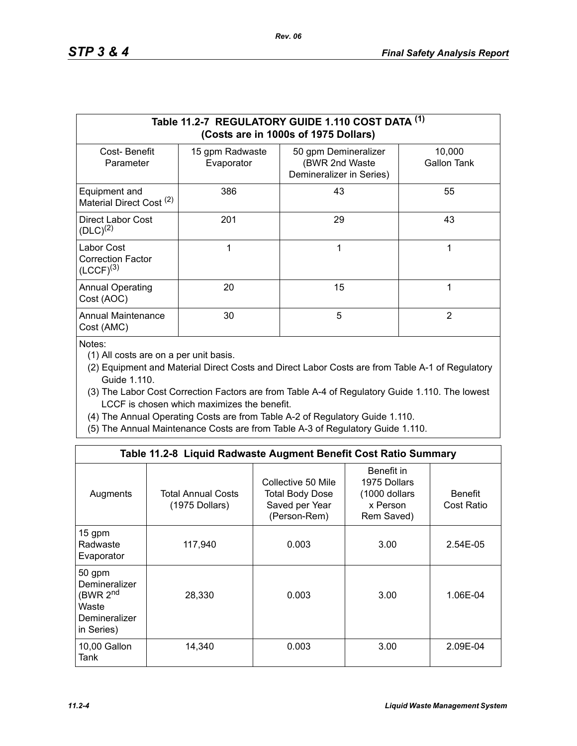|                                                          |                               | Table 11.2-7 REGULATORY GUIDE 1.110 COST DATA (1)<br>(Costs are in 1000s of 1975 Dollars) |                       |
|----------------------------------------------------------|-------------------------------|-------------------------------------------------------------------------------------------|-----------------------|
| Cost-Benefit<br>Parameter                                | 15 gpm Radwaste<br>Evaporator | 50 gpm Demineralizer<br>(BWR 2nd Waste<br>Demineralizer in Series)                        | 10,000<br>Gallon Tank |
| Equipment and<br>Material Direct Cost <sup>(2)</sup>     | 386                           | 43                                                                                        | 55                    |
| Direct Labor Cost<br>$(DLC)^{(2)}$                       | 201                           | 29                                                                                        | 43                    |
| Labor Cost<br><b>Correction Factor</b><br>$(LCCF)^{(3)}$ |                               | 1                                                                                         | 1                     |
| <b>Annual Operating</b><br>Cost (AOC)                    | 20                            | 15                                                                                        | 1                     |
| <b>Annual Maintenance</b><br>Cost (AMC)                  | 30                            | 5                                                                                         | $\overline{2}$        |

Notes:

(1) All costs are on a per unit basis.

- (2) Equipment and Material Direct Costs and Direct Labor Costs are from Table A-1 of Regulatory Guide 1.110.
- (3) The Labor Cost Correction Factors are from Table A-4 of Regulatory Guide 1.110. The lowest LCCF is chosen which maximizes the benefit.
- (4) The Annual Operating Costs are from Table A-2 of Regulatory Guide 1.110.
- (5) The Annual Maintenance Costs are from Table A-3 of Regulatory Guide 1.110.

|                                                                                         | Table 11.2-8 Liquid Radwaste Augment Benefit Cost Ratio Summary |                                                                         |                                                                       |                              |
|-----------------------------------------------------------------------------------------|-----------------------------------------------------------------|-------------------------------------------------------------------------|-----------------------------------------------------------------------|------------------------------|
| Augments                                                                                | <b>Total Annual Costs</b><br>(1975 Dollars)                     | Collective 50 Mile<br>Total Body Dose<br>Saved per Year<br>(Person-Rem) | Benefit in<br>1975 Dollars<br>(1000 dollars<br>x Person<br>Rem Saved) | <b>Benefit</b><br>Cost Ratio |
| 15 gpm<br>Radwaste<br>Evaporator                                                        | 117,940                                                         | 0.003                                                                   | 3.00                                                                  | 2.54E-05                     |
| 50 gpm<br>Demineralizer<br>(BWR 2 <sup>nd</sup><br>Waste<br>Demineralizer<br>in Series) | 28,330                                                          | 0.003                                                                   | 3.00                                                                  | 1.06E-04                     |
| 10,00 Gallon<br>Tank                                                                    | 14,340                                                          | 0.003                                                                   | 3.00                                                                  | 2.09E-04                     |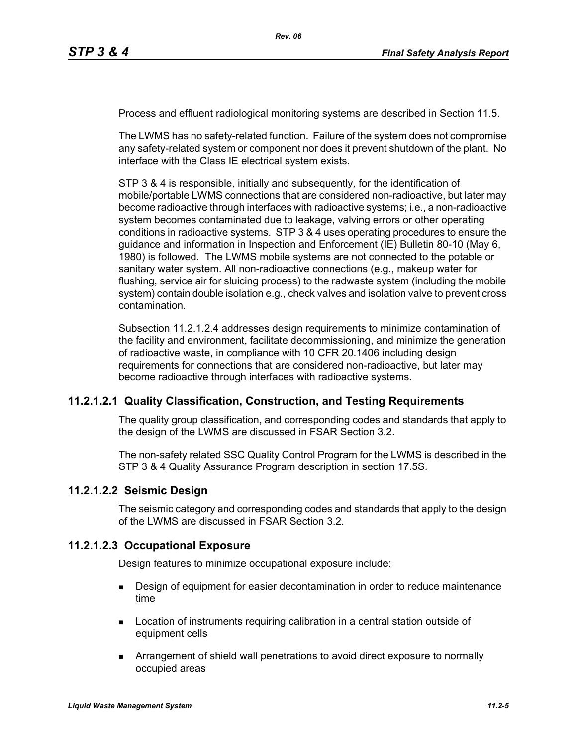Process and effluent radiological monitoring systems are described in Section 11.5.

The LWMS has no safety-related function. Failure of the system does not compromise any safety-related system or component nor does it prevent shutdown of the plant. No interface with the Class IE electrical system exists.

STP 3 & 4 is responsible, initially and subsequently, for the identification of mobile/portable LWMS connections that are considered non-radioactive, but later may become radioactive through interfaces with radioactive systems; i.e., a non-radioactive system becomes contaminated due to leakage, valving errors or other operating conditions in radioactive systems. STP 3 & 4 uses operating procedures to ensure the guidance and information in Inspection and Enforcement (IE) Bulletin 80-10 (May 6, 1980) is followed. The LWMS mobile systems are not connected to the potable or sanitary water system. All non-radioactive connections (e.g., makeup water for flushing, service air for sluicing process) to the radwaste system (including the mobile system) contain double isolation e.g., check valves and isolation valve to prevent cross contamination.

Subsection 11.2.1.2.4 addresses design requirements to minimize contamination of the facility and environment, facilitate decommissioning, and minimize the generation of radioactive waste, in compliance with 10 CFR 20.1406 including design requirements for connections that are considered non-radioactive, but later may become radioactive through interfaces with radioactive systems.

#### **11.2.1.2.1 Quality Classification, Construction, and Testing Requirements**

The quality group classification, and corresponding codes and standards that apply to the design of the LWMS are discussed in FSAR Section 3.2.

The non-safety related SSC Quality Control Program for the LWMS is described in the STP 3 & 4 Quality Assurance Program description in section 17.5S.

#### **11.2.1.2.2 Seismic Design**

The seismic category and corresponding codes and standards that apply to the design of the LWMS are discussed in FSAR Section 3.2.

#### **11.2.1.2.3 Occupational Exposure**

Design features to minimize occupational exposure include:

- **Design of equipment for easier decontamination in order to reduce maintenance** time
- **Location of instruments requiring calibration in a central station outside of** equipment cells
- Arrangement of shield wall penetrations to avoid direct exposure to normally occupied areas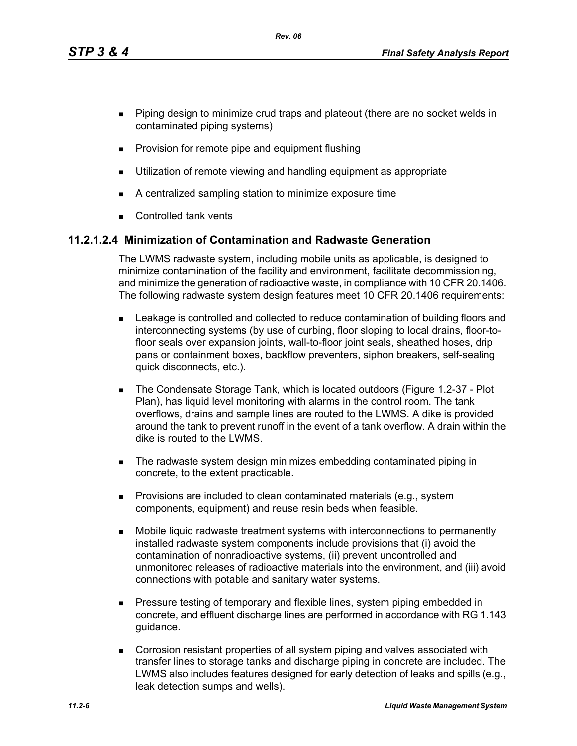*Rev. 06*

- **Piping design to minimize crud traps and plateout (there are no socket welds in** contaminated piping systems)
- **Provision for remote pipe and equipment flushing**
- **Utilization of remote viewing and handling equipment as appropriate**
- A centralized sampling station to minimize exposure time
- **Controlled tank vents**

# **11.2.1.2.4 Minimization of Contamination and Radwaste Generation**

The LWMS radwaste system, including mobile units as applicable, is designed to minimize contamination of the facility and environment, facilitate decommissioning, and minimize the generation of radioactive waste, in compliance with 10 CFR 20.1406. The following radwaste system design features meet 10 CFR 20.1406 requirements:

- Leakage is controlled and collected to reduce contamination of building floors and interconnecting systems (by use of curbing, floor sloping to local drains, floor-tofloor seals over expansion joints, wall-to-floor joint seals, sheathed hoses, drip pans or containment boxes, backflow preventers, siphon breakers, self-sealing quick disconnects, etc.).
- The Condensate Storage Tank, which is located outdoors (Figure 1.2-37 Plot Plan), has liquid level monitoring with alarms in the control room. The tank overflows, drains and sample lines are routed to the LWMS. A dike is provided around the tank to prevent runoff in the event of a tank overflow. A drain within the dike is routed to the LWMS.
- The radwaste system design minimizes embedding contaminated piping in concrete, to the extent practicable.
- **Provisions are included to clean contaminated materials (e.g., system** components, equipment) and reuse resin beds when feasible.
- Mobile liquid radwaste treatment systems with interconnections to permanently installed radwaste system components include provisions that (i) avoid the contamination of nonradioactive systems, (ii) prevent uncontrolled and unmonitored releases of radioactive materials into the environment, and (iii) avoid connections with potable and sanitary water systems.
- **Pressure testing of temporary and flexible lines, system piping embedded in** concrete, and effluent discharge lines are performed in accordance with RG 1.143 guidance.
- Corrosion resistant properties of all system piping and valves associated with transfer lines to storage tanks and discharge piping in concrete are included. The LWMS also includes features designed for early detection of leaks and spills (e.g., leak detection sumps and wells).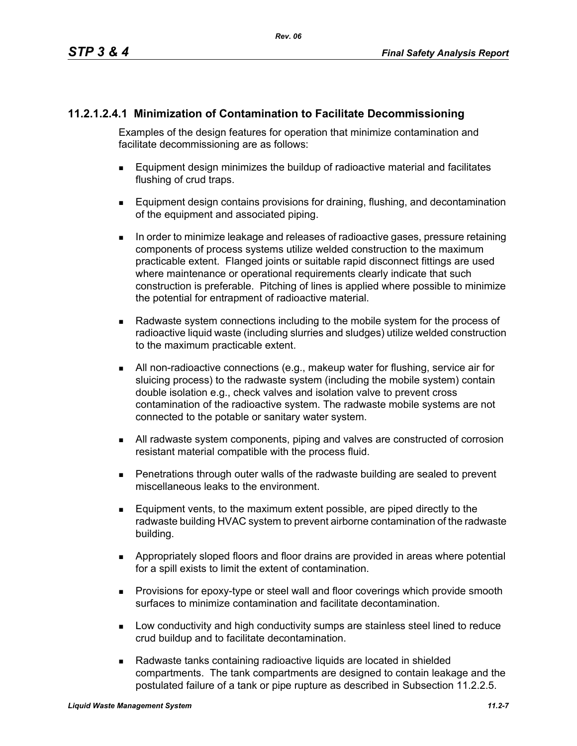# **11.2.1.2.4.1 Minimization of Contamination to Facilitate Decommissioning**

Examples of the design features for operation that minimize contamination and facilitate decommissioning are as follows:

- Equipment design minimizes the buildup of radioactive material and facilitates flushing of crud traps.
- **Equipment design contains provisions for draining, flushing, and decontamination** of the equipment and associated piping.
- In order to minimize leakage and releases of radioactive gases, pressure retaining components of process systems utilize welded construction to the maximum practicable extent. Flanged joints or suitable rapid disconnect fittings are used where maintenance or operational requirements clearly indicate that such construction is preferable. Pitching of lines is applied where possible to minimize the potential for entrapment of radioactive material.
- Radwaste system connections including to the mobile system for the process of radioactive liquid waste (including slurries and sludges) utilize welded construction to the maximum practicable extent.
- All non-radioactive connections (e.g., makeup water for flushing, service air for sluicing process) to the radwaste system (including the mobile system) contain double isolation e.g., check valves and isolation valve to prevent cross contamination of the radioactive system. The radwaste mobile systems are not connected to the potable or sanitary water system.
- All radwaste system components, piping and valves are constructed of corrosion resistant material compatible with the process fluid.
- Penetrations through outer walls of the radwaste building are sealed to prevent miscellaneous leaks to the environment.
- Equipment vents, to the maximum extent possible, are piped directly to the radwaste building HVAC system to prevent airborne contamination of the radwaste building.
- Appropriately sloped floors and floor drains are provided in areas where potential for a spill exists to limit the extent of contamination.
- **Provisions for epoxy-type or steel wall and floor coverings which provide smooth** surfaces to minimize contamination and facilitate decontamination.
- **Low conductivity and high conductivity sumps are stainless steel lined to reduce** crud buildup and to facilitate decontamination.
- Radwaste tanks containing radioactive liquids are located in shielded compartments. The tank compartments are designed to contain leakage and the postulated failure of a tank or pipe rupture as described in Subsection 11.2.2.5.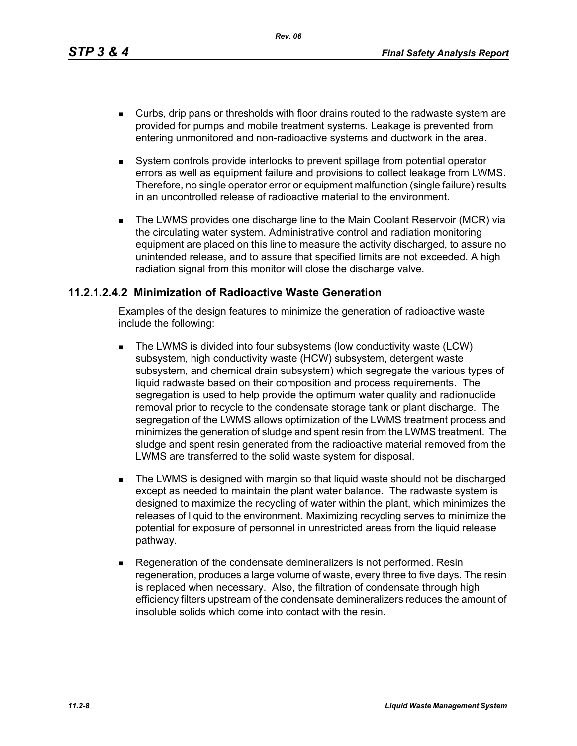*Rev. 06*

- Curbs, drip pans or thresholds with floor drains routed to the radwaste system are provided for pumps and mobile treatment systems. Leakage is prevented from entering unmonitored and non-radioactive systems and ductwork in the area.
- System controls provide interlocks to prevent spillage from potential operator errors as well as equipment failure and provisions to collect leakage from LWMS. Therefore, no single operator error or equipment malfunction (single failure) results in an uncontrolled release of radioactive material to the environment.
- The LWMS provides one discharge line to the Main Coolant Reservoir (MCR) via the circulating water system. Administrative control and radiation monitoring equipment are placed on this line to measure the activity discharged, to assure no unintended release, and to assure that specified limits are not exceeded. A high radiation signal from this monitor will close the discharge valve.

## **11.2.1.2.4.2 Minimization of Radioactive Waste Generation**

Examples of the design features to minimize the generation of radioactive waste include the following:

- The LWMS is divided into four subsystems (low conductivity waste (LCW) subsystem, high conductivity waste (HCW) subsystem, detergent waste subsystem, and chemical drain subsystem) which segregate the various types of liquid radwaste based on their composition and process requirements. The segregation is used to help provide the optimum water quality and radionuclide removal prior to recycle to the condensate storage tank or plant discharge. The segregation of the LWMS allows optimization of the LWMS treatment process and minimizes the generation of sludge and spent resin from the LWMS treatment. The sludge and spent resin generated from the radioactive material removed from the LWMS are transferred to the solid waste system for disposal.
- **The LWMS is designed with margin so that liquid waste should not be discharged** except as needed to maintain the plant water balance. The radwaste system is designed to maximize the recycling of water within the plant, which minimizes the releases of liquid to the environment. Maximizing recycling serves to minimize the potential for exposure of personnel in unrestricted areas from the liquid release pathway.
- Regeneration of the condensate demineralizers is not performed. Resin regeneration, produces a large volume of waste, every three to five days. The resin is replaced when necessary. Also, the filtration of condensate through high efficiency filters upstream of the condensate demineralizers reduces the amount of insoluble solids which come into contact with the resin.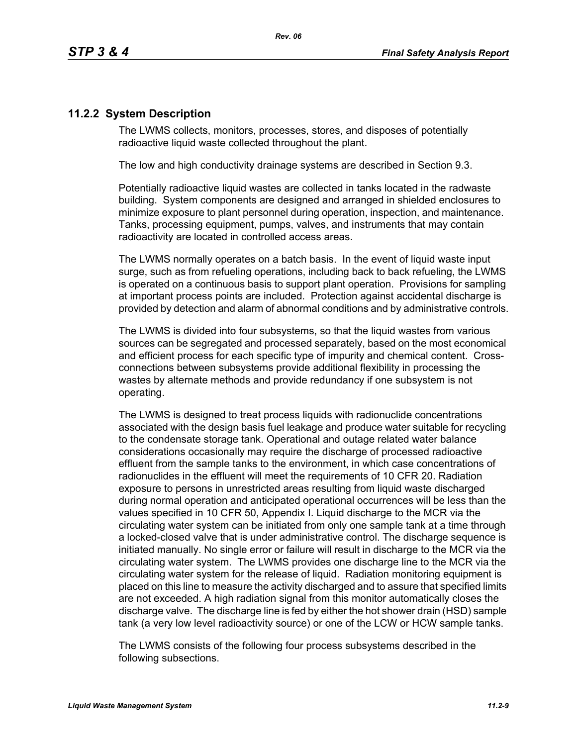# **11.2.2 System Description**

The LWMS collects, monitors, processes, stores, and disposes of potentially radioactive liquid waste collected throughout the plant.

The low and high conductivity drainage systems are described in Section 9.3.

Potentially radioactive liquid wastes are collected in tanks located in the radwaste building. System components are designed and arranged in shielded enclosures to minimize exposure to plant personnel during operation, inspection, and maintenance. Tanks, processing equipment, pumps, valves, and instruments that may contain radioactivity are located in controlled access areas.

The LWMS normally operates on a batch basis. In the event of liquid waste input surge, such as from refueling operations, including back to back refueling, the LWMS is operated on a continuous basis to support plant operation. Provisions for sampling at important process points are included. Protection against accidental discharge is provided by detection and alarm of abnormal conditions and by administrative controls.

The LWMS is divided into four subsystems, so that the liquid wastes from various sources can be segregated and processed separately, based on the most economical and efficient process for each specific type of impurity and chemical content. Crossconnections between subsystems provide additional flexibility in processing the wastes by alternate methods and provide redundancy if one subsystem is not operating.

The LWMS is designed to treat process liquids with radionuclide concentrations associated with the design basis fuel leakage and produce water suitable for recycling to the condensate storage tank. Operational and outage related water balance considerations occasionally may require the discharge of processed radioactive effluent from the sample tanks to the environment, in which case concentrations of radionuclides in the effluent will meet the requirements of 10 CFR 20. Radiation exposure to persons in unrestricted areas resulting from liquid waste discharged during normal operation and anticipated operational occurrences will be less than the values specified in 10 CFR 50, Appendix I. Liquid discharge to the MCR via the circulating water system can be initiated from only one sample tank at a time through a locked-closed valve that is under administrative control. The discharge sequence is initiated manually. No single error or failure will result in discharge to the MCR via the circulating water system. The LWMS provides one discharge line to the MCR via the circulating water system for the release of liquid. Radiation monitoring equipment is placed on this line to measure the activity discharged and to assure that specified limits are not exceeded. A high radiation signal from this monitor automatically closes the discharge valve. The discharge line is fed by either the hot shower drain (HSD) sample tank (a very low level radioactivity source) or one of the LCW or HCW sample tanks.

The LWMS consists of the following four process subsystems described in the following subsections.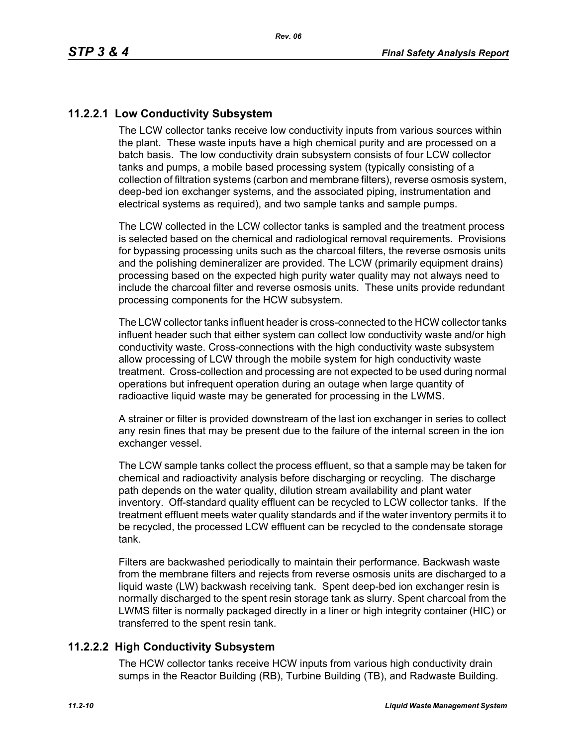# **11.2.2.1 Low Conductivity Subsystem**

The LCW collector tanks receive low conductivity inputs from various sources within the plant. These waste inputs have a high chemical purity and are processed on a batch basis. The low conductivity drain subsystem consists of four LCW collector tanks and pumps, a mobile based processing system (typically consisting of a collection of filtration systems (carbon and membrane filters), reverse osmosis system, deep-bed ion exchanger systems, and the associated piping, instrumentation and electrical systems as required), and two sample tanks and sample pumps.

The LCW collected in the LCW collector tanks is sampled and the treatment process is selected based on the chemical and radiological removal requirements. Provisions for bypassing processing units such as the charcoal filters, the reverse osmosis units and the polishing demineralizer are provided. The LCW (primarily equipment drains) processing based on the expected high purity water quality may not always need to include the charcoal filter and reverse osmosis units. These units provide redundant processing components for the HCW subsystem.

The LCW collector tanks influent header is cross-connected to the HCW collector tanks influent header such that either system can collect low conductivity waste and/or high conductivity waste. Cross-connections with the high conductivity waste subsystem allow processing of LCW through the mobile system for high conductivity waste treatment. Cross-collection and processing are not expected to be used during normal operations but infrequent operation during an outage when large quantity of radioactive liquid waste may be generated for processing in the LWMS.

A strainer or filter is provided downstream of the last ion exchanger in series to collect any resin fines that may be present due to the failure of the internal screen in the ion exchanger vessel.

The LCW sample tanks collect the process effluent, so that a sample may be taken for chemical and radioactivity analysis before discharging or recycling. The discharge path depends on the water quality, dilution stream availability and plant water inventory. Off-standard quality effluent can be recycled to LCW collector tanks. If the treatment effluent meets water quality standards and if the water inventory permits it to be recycled, the processed LCW effluent can be recycled to the condensate storage tank.

Filters are backwashed periodically to maintain their performance. Backwash waste from the membrane filters and rejects from reverse osmosis units are discharged to a liquid waste (LW) backwash receiving tank. Spent deep-bed ion exchanger resin is normally discharged to the spent resin storage tank as slurry. Spent charcoal from the LWMS filter is normally packaged directly in a liner or high integrity container (HIC) or transferred to the spent resin tank.

# **11.2.2.2 High Conductivity Subsystem**

The HCW collector tanks receive HCW inputs from various high conductivity drain sumps in the Reactor Building (RB), Turbine Building (TB), and Radwaste Building.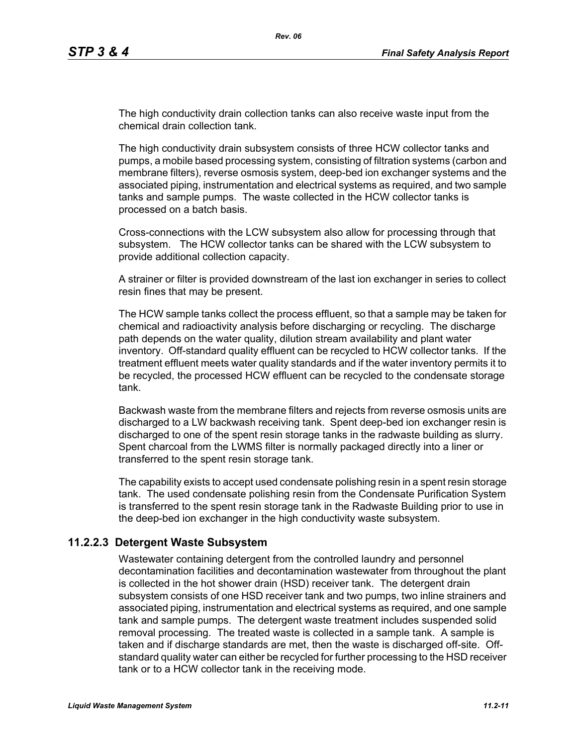The high conductivity drain collection tanks can also receive waste input from the chemical drain collection tank.

The high conductivity drain subsystem consists of three HCW collector tanks and pumps, a mobile based processing system, consisting of filtration systems (carbon and membrane filters), reverse osmosis system, deep-bed ion exchanger systems and the associated piping, instrumentation and electrical systems as required, and two sample tanks and sample pumps. The waste collected in the HCW collector tanks is processed on a batch basis.

Cross-connections with the LCW subsystem also allow for processing through that subsystem. The HCW collector tanks can be shared with the LCW subsystem to provide additional collection capacity.

A strainer or filter is provided downstream of the last ion exchanger in series to collect resin fines that may be present.

The HCW sample tanks collect the process effluent, so that a sample may be taken for chemical and radioactivity analysis before discharging or recycling. The discharge path depends on the water quality, dilution stream availability and plant water inventory. Off-standard quality effluent can be recycled to HCW collector tanks. If the treatment effluent meets water quality standards and if the water inventory permits it to be recycled, the processed HCW effluent can be recycled to the condensate storage tank.

Backwash waste from the membrane filters and rejects from reverse osmosis units are discharged to a LW backwash receiving tank. Spent deep-bed ion exchanger resin is discharged to one of the spent resin storage tanks in the radwaste building as slurry. Spent charcoal from the LWMS filter is normally packaged directly into a liner or transferred to the spent resin storage tank.

The capability exists to accept used condensate polishing resin in a spent resin storage tank. The used condensate polishing resin from the Condensate Purification System is transferred to the spent resin storage tank in the Radwaste Building prior to use in the deep-bed ion exchanger in the high conductivity waste subsystem.

#### **11.2.2.3 Detergent Waste Subsystem**

Wastewater containing detergent from the controlled laundry and personnel decontamination facilities and decontamination wastewater from throughout the plant is collected in the hot shower drain (HSD) receiver tank. The detergent drain subsystem consists of one HSD receiver tank and two pumps, two inline strainers and associated piping, instrumentation and electrical systems as required, and one sample tank and sample pumps. The detergent waste treatment includes suspended solid removal processing. The treated waste is collected in a sample tank. A sample is taken and if discharge standards are met, then the waste is discharged off-site. Offstandard quality water can either be recycled for further processing to the HSD receiver tank or to a HCW collector tank in the receiving mode.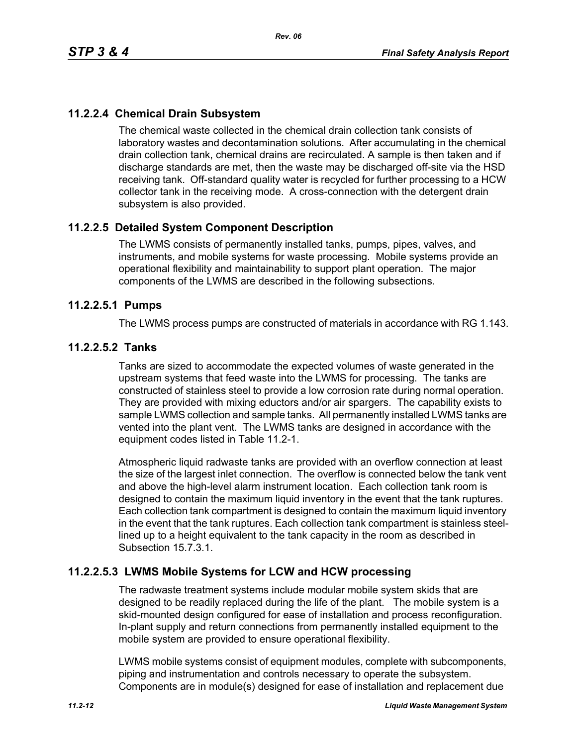# **11.2.2.4 Chemical Drain Subsystem**

The chemical waste collected in the chemical drain collection tank consists of laboratory wastes and decontamination solutions. After accumulating in the chemical drain collection tank, chemical drains are recirculated. A sample is then taken and if discharge standards are met, then the waste may be discharged off-site via the HSD receiving tank. Off-standard quality water is recycled for further processing to a HCW collector tank in the receiving mode. A cross-connection with the detergent drain subsystem is also provided.

# **11.2.2.5 Detailed System Component Description**

The LWMS consists of permanently installed tanks, pumps, pipes, valves, and instruments, and mobile systems for waste processing. Mobile systems provide an operational flexibility and maintainability to support plant operation. The major components of the LWMS are described in the following subsections.

## **11.2.2.5.1 Pumps**

The LWMS process pumps are constructed of materials in accordance with RG 1.143.

## **11.2.2.5.2 Tanks**

Tanks are sized to accommodate the expected volumes of waste generated in the upstream systems that feed waste into the LWMS for processing. The tanks are constructed of stainless steel to provide a low corrosion rate during normal operation. They are provided with mixing eductors and/or air spargers. The capability exists to sample LWMS collection and sample tanks. All permanently installed LWMS tanks are vented into the plant vent. The LWMS tanks are designed in accordance with the equipment codes listed in Table 11.2-1.

Atmospheric liquid radwaste tanks are provided with an overflow connection at least the size of the largest inlet connection. The overflow is connected below the tank vent and above the high-level alarm instrument location. Each collection tank room is designed to contain the maximum liquid inventory in the event that the tank ruptures. Each collection tank compartment is designed to contain the maximum liquid inventory in the event that the tank ruptures. Each collection tank compartment is stainless steellined up to a height equivalent to the tank capacity in the room as described in Subsection 15.7.3.1.

# **11.2.2.5.3 LWMS Mobile Systems for LCW and HCW processing**

The radwaste treatment systems include modular mobile system skids that are designed to be readily replaced during the life of the plant. The mobile system is a skid-mounted design configured for ease of installation and process reconfiguration. In-plant supply and return connections from permanently installed equipment to the mobile system are provided to ensure operational flexibility.

LWMS mobile systems consist of equipment modules, complete with subcomponents, piping and instrumentation and controls necessary to operate the subsystem. Components are in module(s) designed for ease of installation and replacement due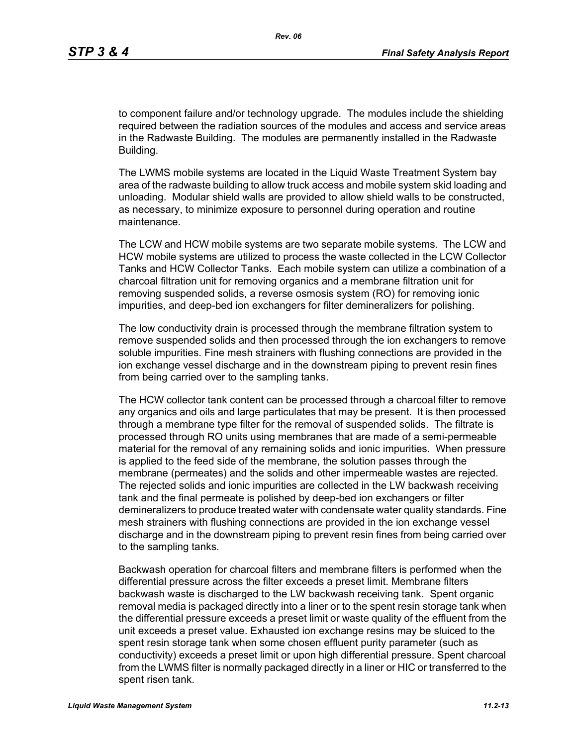to component failure and/or technology upgrade. The modules include the shielding required between the radiation sources of the modules and access and service areas in the Radwaste Building. The modules are permanently installed in the Radwaste Building.

The LWMS mobile systems are located in the Liquid Waste Treatment System bay area of the radwaste building to allow truck access and mobile system skid loading and unloading. Modular shield walls are provided to allow shield walls to be constructed, as necessary, to minimize exposure to personnel during operation and routine maintenance.

The LCW and HCW mobile systems are two separate mobile systems. The LCW and HCW mobile systems are utilized to process the waste collected in the LCW Collector Tanks and HCW Collector Tanks. Each mobile system can utilize a combination of a charcoal filtration unit for removing organics and a membrane filtration unit for removing suspended solids, a reverse osmosis system (RO) for removing ionic impurities, and deep-bed ion exchangers for filter demineralizers for polishing.

The low conductivity drain is processed through the membrane filtration system to remove suspended solids and then processed through the ion exchangers to remove soluble impurities. Fine mesh strainers with flushing connections are provided in the ion exchange vessel discharge and in the downstream piping to prevent resin fines from being carried over to the sampling tanks.

The HCW collector tank content can be processed through a charcoal filter to remove any organics and oils and large particulates that may be present. It is then processed through a membrane type filter for the removal of suspended solids. The filtrate is processed through RO units using membranes that are made of a semi-permeable material for the removal of any remaining solids and ionic impurities. When pressure is applied to the feed side of the membrane, the solution passes through the membrane (permeates) and the solids and other impermeable wastes are rejected. The rejected solids and ionic impurities are collected in the LW backwash receiving tank and the final permeate is polished by deep-bed ion exchangers or filter demineralizers to produce treated water with condensate water quality standards. Fine mesh strainers with flushing connections are provided in the ion exchange vessel discharge and in the downstream piping to prevent resin fines from being carried over to the sampling tanks.

Backwash operation for charcoal filters and membrane filters is performed when the differential pressure across the filter exceeds a preset limit. Membrane filters backwash waste is discharged to the LW backwash receiving tank. Spent organic removal media is packaged directly into a liner or to the spent resin storage tank when the differential pressure exceeds a preset limit or waste quality of the effluent from the unit exceeds a preset value. Exhausted ion exchange resins may be sluiced to the spent resin storage tank when some chosen effluent purity parameter (such as conductivity) exceeds a preset limit or upon high differential pressure. Spent charcoal from the LWMS filter is normally packaged directly in a liner or HIC or transferred to the spent risen tank.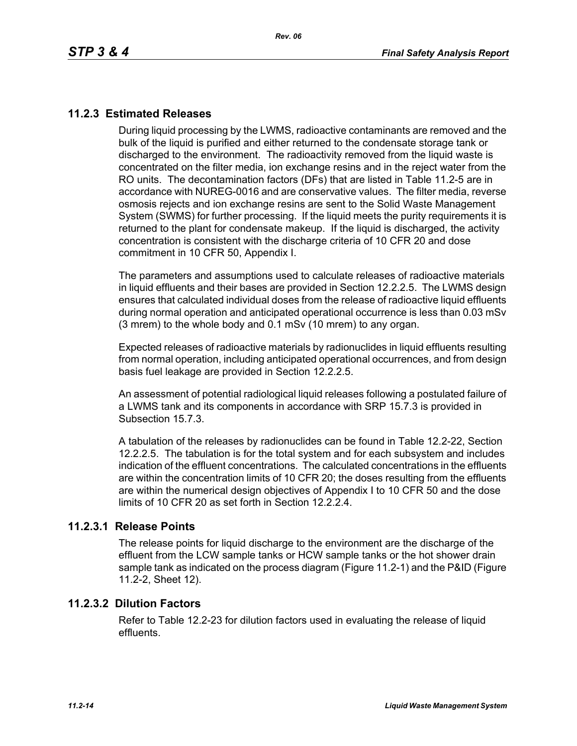# **11.2.3 Estimated Releases**

During liquid processing by the LWMS, radioactive contaminants are removed and the bulk of the liquid is purified and either returned to the condensate storage tank or discharged to the environment. The radioactivity removed from the liquid waste is concentrated on the filter media, ion exchange resins and in the reject water from the RO units. The decontamination factors (DFs) that are listed in Table 11.2-5 are in accordance with NUREG-0016 and are conservative values. The filter media, reverse osmosis rejects and ion exchange resins are sent to the Solid Waste Management System (SWMS) for further processing. If the liquid meets the purity requirements it is returned to the plant for condensate makeup. If the liquid is discharged, the activity concentration is consistent with the discharge criteria of 10 CFR 20 and dose commitment in 10 CFR 50, Appendix I.

The parameters and assumptions used to calculate releases of radioactive materials in liquid effluents and their bases are provided in Section 12.2.2.5. The LWMS design ensures that calculated individual doses from the release of radioactive liquid effluents during normal operation and anticipated operational occurrence is less than 0.03 mSv (3 mrem) to the whole body and 0.1 mSv (10 mrem) to any organ.

Expected releases of radioactive materials by radionuclides in liquid effluents resulting from normal operation, including anticipated operational occurrences, and from design basis fuel leakage are provided in Section 12.2.2.5.

An assessment of potential radiological liquid releases following a postulated failure of a LWMS tank and its components in accordance with SRP 15.7.3 is provided in Subsection 15.7.3.

A tabulation of the releases by radionuclides can be found in Table 12.2-22, Section 12.2.2.5. The tabulation is for the total system and for each subsystem and includes indication of the effluent concentrations. The calculated concentrations in the effluents are within the concentration limits of 10 CFR 20; the doses resulting from the effluents are within the numerical design objectives of Appendix I to 10 CFR 50 and the dose limits of 10 CFR 20 as set forth in Section 12.2.2.4.

#### **11.2.3.1 Release Points**

The release points for liquid discharge to the environment are the discharge of the effluent from the LCW sample tanks or HCW sample tanks or the hot shower drain sample tank as indicated on the process diagram (Figure 11.2-1) and the P&ID (Figure 11.2-2, Sheet 12).

#### **11.2.3.2 Dilution Factors**

Refer to Table 12.2-23 for dilution factors used in evaluating the release of liquid effluents.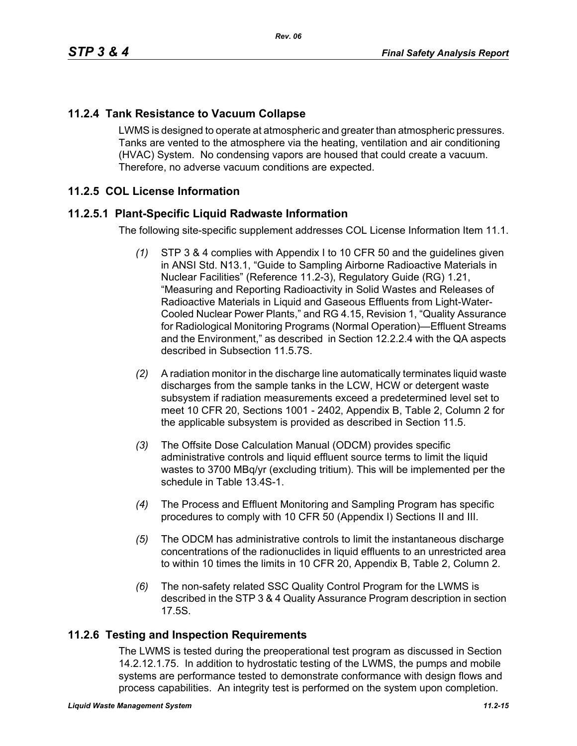# **11.2.4 Tank Resistance to Vacuum Collapse**

LWMS is designed to operate at atmospheric and greater than atmospheric pressures. Tanks are vented to the atmosphere via the heating, ventilation and air conditioning (HVAC) System. No condensing vapors are housed that could create a vacuum. Therefore, no adverse vacuum conditions are expected.

# **11.2.5 COL License Information**

# **11.2.5.1 Plant-Specific Liquid Radwaste Information**

The following site-specific supplement addresses COL License Information Item 11.1.

- *(1)* STP 3 & 4 complies with Appendix I to 10 CFR 50 and the guidelines given in ANSI Std. N13.1, "Guide to Sampling Airborne Radioactive Materials in Nuclear Facilities" (Reference 11.2-3), Regulatory Guide (RG) 1.21, "Measuring and Reporting Radioactivity in Solid Wastes and Releases of Radioactive Materials in Liquid and Gaseous Effluents from Light-Water-Cooled Nuclear Power Plants," and RG 4.15, Revision 1, "Quality Assurance for Radiological Monitoring Programs (Normal Operation)—Effluent Streams and the Environment," as described in Section 12.2.2.4 with the QA aspects described in Subsection 11.5.7S.
- *(2)* A radiation monitor in the discharge line automatically terminates liquid waste discharges from the sample tanks in the LCW, HCW or detergent waste subsystem if radiation measurements exceed a predetermined level set to meet 10 CFR 20, Sections 1001 - 2402, Appendix B, Table 2, Column 2 for the applicable subsystem is provided as described in Section 11.5.
- *(3)* The Offsite Dose Calculation Manual (ODCM) provides specific administrative controls and liquid effluent source terms to limit the liquid wastes to 3700 MBq/yr (excluding tritium). This will be implemented per the schedule in Table 13.4S-1.
- *(4)* The Process and Effluent Monitoring and Sampling Program has specific procedures to comply with 10 CFR 50 (Appendix I) Sections II and III.
- *(5)* The ODCM has administrative controls to limit the instantaneous discharge concentrations of the radionuclides in liquid effluents to an unrestricted area to within 10 times the limits in 10 CFR 20, Appendix B, Table 2, Column 2.
- *(6)* The non-safety related SSC Quality Control Program for the LWMS is described in the STP 3 & 4 Quality Assurance Program description in section 17.5S.

#### **11.2.6 Testing and Inspection Requirements**

The LWMS is tested during the preoperational test program as discussed in Section 14.2.12.1.75. In addition to hydrostatic testing of the LWMS, the pumps and mobile systems are performance tested to demonstrate conformance with design flows and process capabilities. An integrity test is performed on the system upon completion.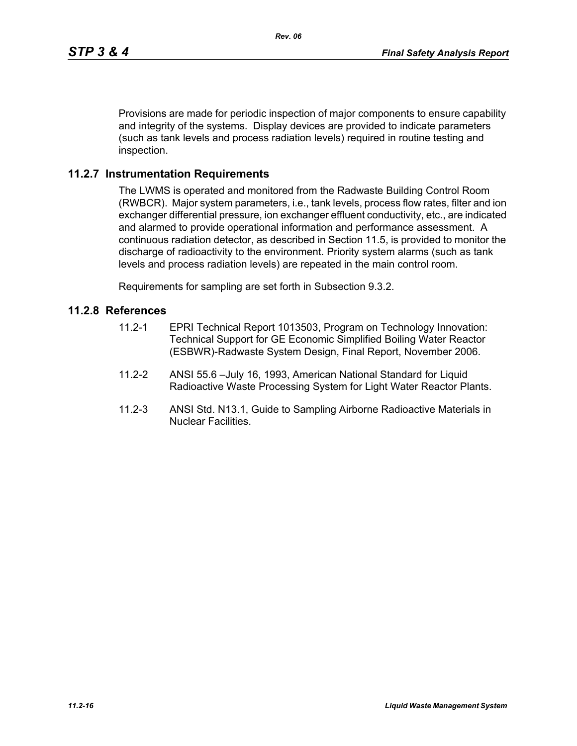Provisions are made for periodic inspection of major components to ensure capability and integrity of the systems. Display devices are provided to indicate parameters (such as tank levels and process radiation levels) required in routine testing and inspection.

#### **11.2.7 Instrumentation Requirements**

The LWMS is operated and monitored from the Radwaste Building Control Room (RWBCR). Major system parameters, i.e., tank levels, process flow rates, filter and ion exchanger differential pressure, ion exchanger effluent conductivity, etc., are indicated and alarmed to provide operational information and performance assessment. A continuous radiation detector, as described in Section 11.5, is provided to monitor the discharge of radioactivity to the environment. Priority system alarms (such as tank levels and process radiation levels) are repeated in the main control room.

Requirements for sampling are set forth in Subsection 9.3.2.

#### **11.2.8 References**

- 11.2-1 EPRI Technical Report 1013503, Program on Technology Innovation: Technical Support for GE Economic Simplified Boiling Water Reactor (ESBWR)-Radwaste System Design, Final Report, November 2006.
- 11.2-2 ANSI 55.6 –July 16, 1993, American National Standard for Liquid Radioactive Waste Processing System for Light Water Reactor Plants.
- 11.2-3 ANSI Std. N13.1, Guide to Sampling Airborne Radioactive Materials in Nuclear Facilities.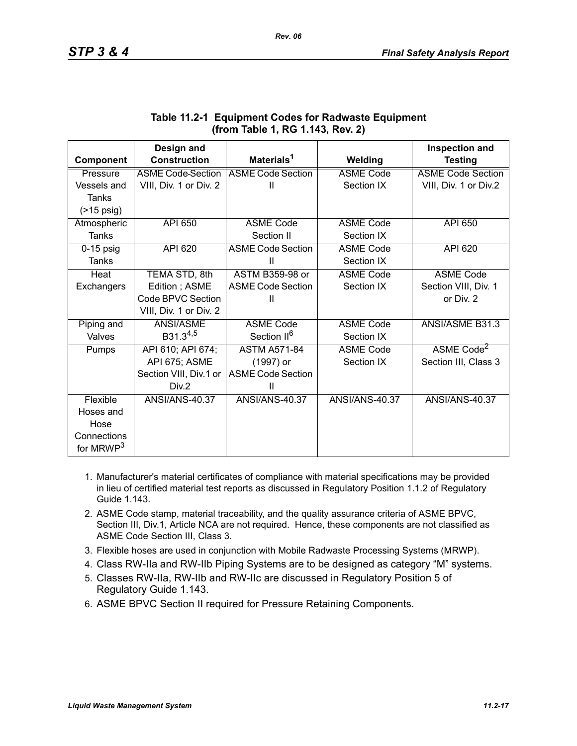|                       | Design and               |                          |                       | <b>Inspection and</b>    |
|-----------------------|--------------------------|--------------------------|-----------------------|--------------------------|
| Component             | <b>Construction</b>      | Materials <sup>1</sup>   | Welding               | <b>Testing</b>           |
| Pressure              | <b>ASME Code Section</b> | <b>ASME Code Section</b> | <b>ASME Code</b>      | <b>ASME Code Section</b> |
| Vessels and           | VIII, Div. 1 or Div. 2   | $\mathbf{II}$            | Section IX            | VIII, Div. 1 or Div.2    |
| <b>Tanks</b>          |                          |                          |                       |                          |
| $($ >15 psig)         |                          |                          |                       |                          |
| Atmospheric           | <b>API 650</b>           | <b>ASME Code</b>         | <b>ASME Code</b>      | API 650                  |
| Tanks                 |                          | Section II               | Section IX            |                          |
| $0-15$ psig           | <b>API 620</b>           | <b>ASME Code Section</b> | <b>ASME Code</b>      | API 620                  |
| Tanks                 |                          | Ш                        | Section IX            |                          |
| Heat                  | TEMA STD, 8th            | <b>ASTM B359-98 or</b>   | <b>ASME Code</b>      | <b>ASME Code</b>         |
| Exchangers            | Edition; ASME            | <b>ASME Code Section</b> | Section IX            | Section VIII, Div. 1     |
|                       | Code BPVC Section        | Ш                        |                       | or Div. 2                |
|                       | VIII, Div. 1 or Div. 2   |                          |                       |                          |
| Piping and            | ANSI/ASME                | <b>ASME Code</b>         | <b>ASME Code</b>      | <b>ANSI/ASME B31.3</b>   |
| Valves                | B31.3 <sup>4,5</sup>     | Section II <sup>6</sup>  | Section IX            |                          |
| Pumps                 | API 610; API 674;        | <b>ASTM A571-84</b>      | <b>ASME Code</b>      | ASME Code <sup>2</sup>   |
|                       | API 675; ASME            | (1997) or                | Section IX            | Section III, Class 3     |
|                       | Section VIII, Div.1 or   | <b>ASME Code Section</b> |                       |                          |
|                       | Div.2                    | Ш                        |                       |                          |
| Flexible              | <b>ANSI/ANS-40.37</b>    | ANSI/ANS-40.37           | <b>ANSI/ANS-40.37</b> | <b>ANSI/ANS-40.37</b>    |
| Hoses and             |                          |                          |                       |                          |
| Hose                  |                          |                          |                       |                          |
| Connections           |                          |                          |                       |                          |
| for MRWP <sup>3</sup> |                          |                          |                       |                          |

# **Table 11.2-1 Equipment Codes for Radwaste Equipment (from Table 1, RG 1.143, Rev. 2)**

- 1. Manufacturer's material certificates of compliance with material specifications may be provided in lieu of certified material test reports as discussed in Regulatory Position 1.1.2 of Regulatory Guide 1.143.
- 2. ASME Code stamp, material traceability, and the quality assurance criteria of ASME BPVC, Section III, Div.1, Article NCA are not required. Hence, these components are not classified as ASME Code Section III, Class 3.
- 3. Flexible hoses are used in conjunction with Mobile Radwaste Processing Systems (MRWP).
- 4. Class RW-IIa and RW-IIb Piping Systems are to be designed as category "M" systems.
- 5. Classes RW-IIa, RW-IIb and RW-IIc are discussed in Regulatory Position 5 of Regulatory Guide 1.143.
- 6. ASME BPVC Section II required for Pressure Retaining Components.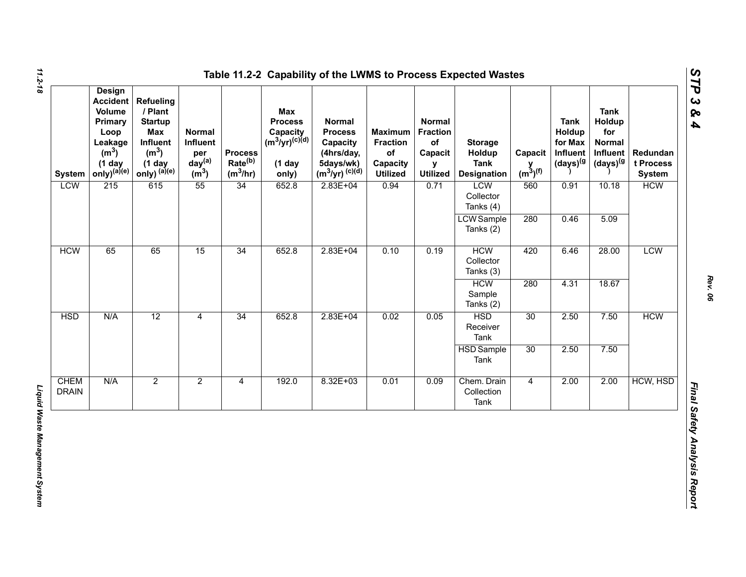| <b>System</b>               | <b>Design</b><br><b>Accident</b><br>Volume<br>Primary<br>Loop<br>Leakage<br>(m <sup>3</sup> )<br>$(1$ day<br>$only)^{(a)(e)}$ | <b>Refueling</b><br>/ Plant<br><b>Startup</b><br>Max<br>Influent<br>(m <sup>3</sup> )<br>$(1$ day<br>only) $^{(a)(e)}$ | Normal<br>Influent<br>per<br>day <sup>(a)</sup><br>(m <sup>3</sup> ) | <b>Process</b><br>Rate <sup>(b)</sup><br>$(m^3/hr)$ | Max<br><b>Process</b><br>Capacity<br>(m <sup>3</sup> /yr) <sup>(c)(d)</sup><br>$(1$ day<br>only) | <b>Normal</b><br><b>Process</b><br>Capacity<br>(4hrs/day,<br>5days/wk)<br>$(m^3/yr)^{(c)(d)}$ | <b>Maximum</b><br><b>Fraction</b><br>of<br>Capacity<br><b>Utilized</b> | <b>Normal</b><br><b>Fraction</b><br>of<br>Capacit<br>y<br><b>Utilized</b> | <b>Storage</b><br>Holdup<br><b>Tank</b><br><b>Designation</b> | Capacit<br>$y$ <sub>(m<sup>3</sup>)<sup>(f)</sup></sub> | <b>Tank</b><br>Holdup<br>for Max<br>Influent<br>$(days)^{(g)}$ | <b>Tank</b><br>Holdup<br>for<br><b>Normal</b><br>Influent<br>(days) <sup>(g</sup> | Redundan<br>t Process<br><b>System</b> |            |
|-----------------------------|-------------------------------------------------------------------------------------------------------------------------------|------------------------------------------------------------------------------------------------------------------------|----------------------------------------------------------------------|-----------------------------------------------------|--------------------------------------------------------------------------------------------------|-----------------------------------------------------------------------------------------------|------------------------------------------------------------------------|---------------------------------------------------------------------------|---------------------------------------------------------------|---------------------------------------------------------|----------------------------------------------------------------|-----------------------------------------------------------------------------------|----------------------------------------|------------|
| <b>LCW</b>                  | 215                                                                                                                           | 615                                                                                                                    | 55                                                                   | 34                                                  | 652.8                                                                                            | $2.83E + 04$                                                                                  | 0.94                                                                   | 0.71                                                                      | <b>LCW</b><br>Collector<br>Tanks (4)                          | 560                                                     | 0.91                                                           | 10.18                                                                             | <b>HCW</b>                             |            |
|                             |                                                                                                                               |                                                                                                                        |                                                                      |                                                     |                                                                                                  |                                                                                               |                                                                        |                                                                           | <b>LCW</b> Sample<br>Tanks (2)                                | 280                                                     | 0.46                                                           | 5.09                                                                              |                                        |            |
| <b>HCW</b>                  | 65                                                                                                                            | 65                                                                                                                     | 15                                                                   | 34                                                  | 652.8                                                                                            | $2.83E + 04$                                                                                  |                                                                        | 0.10                                                                      | 0.19                                                          | <b>HCW</b><br>Collector<br>Tanks (3)                    | 420                                                            | 6.46                                                                              | 28.00                                  | <b>LCW</b> |
|                             |                                                                                                                               |                                                                                                                        |                                                                      |                                                     |                                                                                                  |                                                                                               |                                                                        |                                                                           | <b>HCW</b><br>Sample<br>Tanks (2)                             | 280                                                     | 4.31                                                           | 18.67                                                                             |                                        |            |
| <b>HSD</b>                  | N/A                                                                                                                           | 12                                                                                                                     | $\overline{4}$                                                       | 34                                                  | 652.8                                                                                            | $2.83E + 04$                                                                                  | 0.02                                                                   | 0.05                                                                      | <b>HSD</b><br>Receiver<br>Tank                                | 30                                                      | 2.50                                                           | 7.50                                                                              | <b>HCW</b>                             |            |
|                             |                                                                                                                               |                                                                                                                        |                                                                      |                                                     |                                                                                                  |                                                                                               |                                                                        |                                                                           | <b>HSD</b> Sample<br>Tank                                     | 30                                                      | 2.50                                                           | 7.50                                                                              |                                        |            |
| <b>CHEM</b><br><b>DRAIN</b> | N/A                                                                                                                           | $\overline{2}$                                                                                                         | $\overline{2}$                                                       | $\overline{4}$                                      | 192.0                                                                                            | $8.32E + 03$                                                                                  | 0.01                                                                   | 0.09                                                                      | Chem. Drain<br>Collection<br>Tank                             | $\overline{4}$                                          | 2.00                                                           | 2.00                                                                              | HCW, HSD                               |            |

*Rev. 06*

*STP 3 & 4*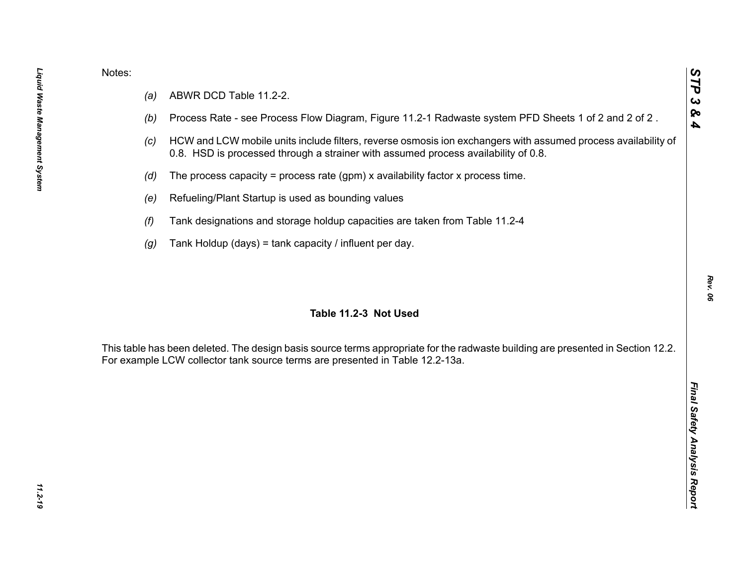- 
- 
- 
- 
- 
- 
- 

Notes:<br>
(a) ABWR DCD Table 11.2-2.<br>
(b) Process Rate - see Process Flow Diagram, Figure 11.2-1 Radwaste system PFD Sheets 1 of 2 and 2 of 2.<br>
(c) HCW and LCW mobile units include filters, reverse osmosis ion exchangers wit

*STP 3 & 4*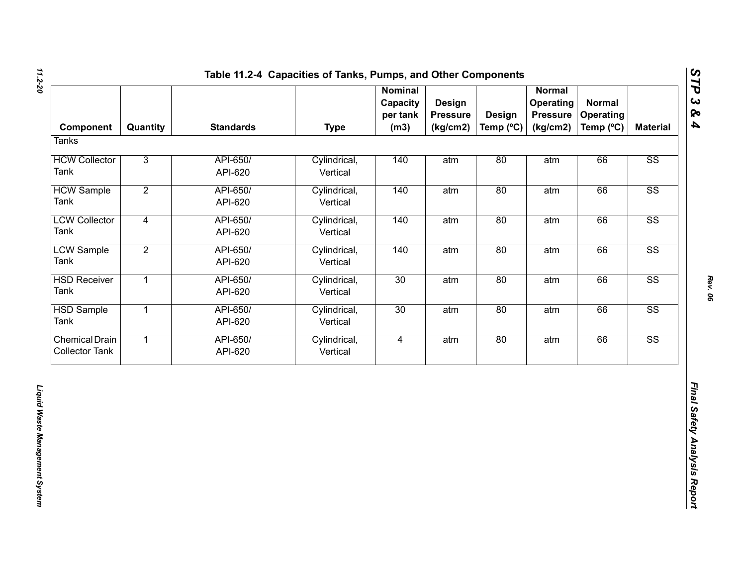| Component                                      | Quantity       | <b>Standards</b>    | <b>Type</b>              | <b>Nominal</b><br>Capacity<br>per tank<br>(m3) | Design<br><b>Pressure</b><br>(kg/cm2) | <b>Design</b><br>Temp (°C) | <b>Normal</b><br>Operating<br><b>Pressure</b><br>(kg/cm2) | <b>Normal</b><br><b>Operating</b><br>Temp (°C) | <b>Material</b>        |
|------------------------------------------------|----------------|---------------------|--------------------------|------------------------------------------------|---------------------------------------|----------------------------|-----------------------------------------------------------|------------------------------------------------|------------------------|
| <b>Tanks</b>                                   |                |                     |                          |                                                |                                       |                            |                                                           |                                                |                        |
| <b>HCW Collector</b><br>Tank                   | $\overline{3}$ | API-650/<br>API-620 | Cylindrical,<br>Vertical | 140                                            | atm                                   | 80                         | atm                                                       | 66                                             | SS                     |
| <b>HCW Sample</b><br>Tank                      | $\overline{2}$ | API-650/<br>API-620 | Cylindrical,<br>Vertical | 140                                            | atm                                   | 80                         | atm                                                       | 66                                             | $\overline{\text{SS}}$ |
| <b>LCW Collector</b><br>Tank                   | $\overline{4}$ | API-650/<br>API-620 | Cylindrical,<br>Vertical | 140                                            | atm                                   | 80                         | atm                                                       | 66                                             | $\overline{\text{SS}}$ |
| <b>LCW Sample</b><br>Tank                      | $\overline{2}$ | API-650/<br>API-620 | Cylindrical,<br>Vertical | 140                                            | atm                                   | 80                         | atm                                                       | 66                                             | $\overline{\text{SS}}$ |
| <b>HSD Receiver</b><br>Tank                    | $\overline{1}$ | API-650/<br>API-620 | Cylindrical,<br>Vertical | 30                                             | atm                                   | 80                         | atm                                                       | 66                                             | SS                     |
| <b>HSD Sample</b><br>Tank                      | $\overline{1}$ | API-650/<br>API-620 | Cylindrical,<br>Vertical | 30                                             | atm                                   | 80                         | atm                                                       | 66                                             | $\overline{\text{SS}}$ |
| <b>Chemical Drain</b><br><b>Collector Tank</b> | $\overline{1}$ | API-650/<br>API-620 | Cylindrical,<br>Vertical | $\overline{4}$                                 | atm                                   | 80                         | atm                                                       | 66                                             | SS                     |
|                                                |                |                     |                          |                                                |                                       |                            |                                                           |                                                |                        |

*Rev. 06*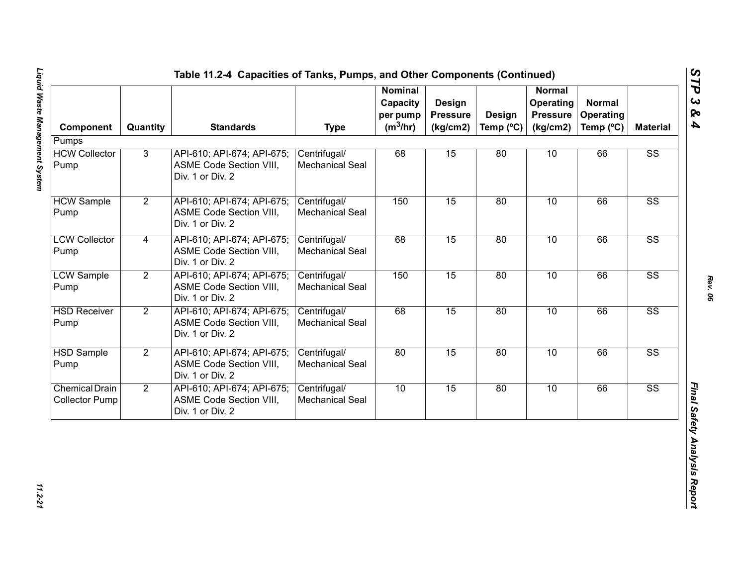| Component                                      | Quantity       | <b>Standards</b>                                                                 | <b>Type</b>                            | <b>Nominal</b><br>Capacity<br>per pump<br>$(m^3/hr)$ | Design<br><b>Pressure</b><br>(kg/cm2) | Design<br>Temp $(^{\circ}C)$ | <b>Normal</b><br>Operating<br><b>Pressure</b><br>(kg/cm2) | <b>Normal</b><br><b>Operating</b><br>Temp (°C) | <b>Material</b>        |
|------------------------------------------------|----------------|----------------------------------------------------------------------------------|----------------------------------------|------------------------------------------------------|---------------------------------------|------------------------------|-----------------------------------------------------------|------------------------------------------------|------------------------|
| Pumps                                          |                |                                                                                  |                                        |                                                      |                                       |                              |                                                           |                                                |                        |
| <b>HCW Collector</b><br>Pump                   | 3              | API-610; API-674; API-675;<br><b>ASME Code Section VIII,</b><br>Div. 1 or Div. 2 | Centrifugal/<br><b>Mechanical Seal</b> | 68                                                   | 15                                    | 80                           | 10                                                        | 66                                             | $\overline{\text{SS}}$ |
| <b>HCW Sample</b><br>Pump                      | $\overline{2}$ | API-610; API-674; API-675;<br>ASME Code Section VIII,<br>Div. 1 or Div. 2        | Centrifugal/<br><b>Mechanical Seal</b> | 150                                                  | 15                                    | 80                           | 10                                                        | 66                                             | $\overline{\text{SS}}$ |
| <b>LCW Collector</b><br>Pump                   | 4              | API-610; API-674; API-675;<br>ASME Code Section VIII,<br>Div. 1 or Div. 2        | Centrifugal/<br>Mechanical Seal        | 68                                                   | 15                                    | 80                           | 10                                                        | 66                                             | $\overline{\text{SS}}$ |
| <b>LCW Sample</b><br>Pump                      | $\overline{2}$ | API-610; API-674; API-675;<br>ASME Code Section VIII,<br>Div. 1 or Div. 2        | Centrifugal/<br>Mechanical Seal        | 150                                                  | 15                                    | 80                           | 10                                                        | 66                                             | $\overline{\text{SS}}$ |
| <b>HSD Receiver</b><br>Pump                    | $\overline{2}$ | API-610; API-674; API-675;<br>ASME Code Section VIII,<br>Div. 1 or Div. 2        | Centrifugal/<br>Mechanical Seal        | 68                                                   | 15                                    | 80                           | 10                                                        | 66                                             | $\overline{\text{SS}}$ |
| <b>HSD Sample</b><br>Pump                      | $\overline{2}$ | API-610; API-674; API-675;<br><b>ASME Code Section VIII,</b><br>Div. 1 or Div. 2 | Centrifugal/<br>Mechanical Seal        | 80                                                   | 15                                    | 80                           | 10                                                        | 66                                             | $\overline{\text{SS}}$ |
| <b>Chemical Drain</b><br><b>Collector Pump</b> | $\overline{2}$ | API-610; API-674; API-675;<br>ASME Code Section VIII,<br>Div. 1 or Div. 2        | Centrifugal/<br>Mechanical Seal        | 10                                                   | 15                                    | 80                           | 10                                                        | 66                                             | $\overline{\text{SS}}$ |

*STP 3 & 4*

11.2-21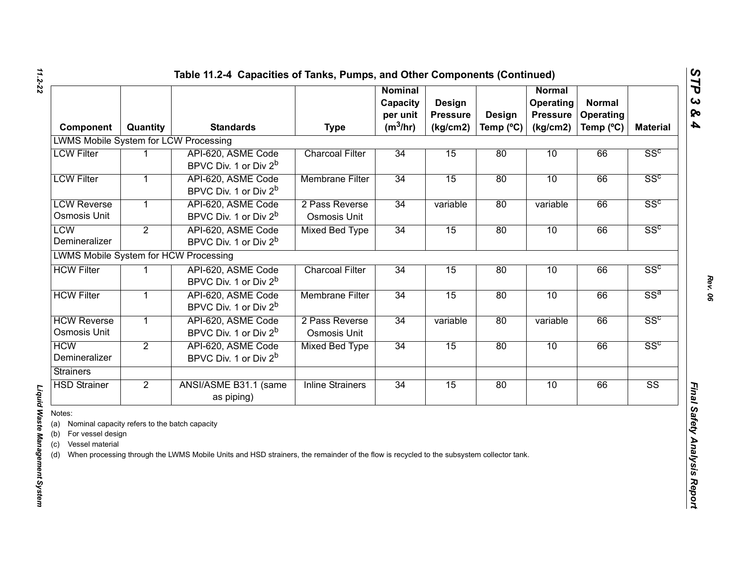| Component                                                                                                                   | Quantity       | <b>Standards</b>                                                                                                                        | <b>Type</b>                    | <b>Nominal</b><br>Capacity<br>per unit<br>$(m^3/hr)$ | Design<br><b>Pressure</b><br>(kg/cm2) | Design<br>Temp (°C) | <b>Normal</b><br><b>Operating</b><br><b>Pressure</b><br>(kg/cm2) | <b>Normal</b><br>Operating<br>Temp (°C) | <b>Material</b>        |
|-----------------------------------------------------------------------------------------------------------------------------|----------------|-----------------------------------------------------------------------------------------------------------------------------------------|--------------------------------|------------------------------------------------------|---------------------------------------|---------------------|------------------------------------------------------------------|-----------------------------------------|------------------------|
| <b>LWMS Mobile System for LCW Processing</b>                                                                                |                |                                                                                                                                         |                                |                                                      |                                       |                     |                                                                  |                                         |                        |
| <b>LCW Filter</b>                                                                                                           |                | API-620, ASME Code<br>BPVC Div. 1 or Div 2 <sup>b</sup>                                                                                 | <b>Charcoal Filter</b>         | 34                                                   | 15                                    | 80                  | 10                                                               | 66                                      | SS <sup>c</sup>        |
| <b>LCW Filter</b>                                                                                                           | 1              | API-620, ASME Code<br>BPVC Div. 1 or Div 2 <sup>b</sup>                                                                                 | <b>Membrane Filter</b>         | 34                                                   | 15                                    | 80                  | 10                                                               | 66                                      | SS <sup>c</sup>        |
| <b>LCW Reverse</b><br>Osmosis Unit                                                                                          | 1              | API-620, ASME Code<br>BPVC Div. 1 or Div 2 <sup>b</sup>                                                                                 | 2 Pass Reverse<br>Osmosis Unit | 34                                                   | variable                              | 80                  | variable                                                         | 66                                      | SS <sup>c</sup>        |
| <b>LCW</b><br>Demineralizer                                                                                                 | $\overline{2}$ | API-620, ASME Code<br>BPVC Div. 1 or Div 2 <sup>b</sup>                                                                                 | <b>Mixed Bed Type</b>          | 34                                                   | 15                                    | 80                  | 10                                                               | 66                                      | SS <sup>c</sup>        |
| LWMS Mobile System for HCW Processing                                                                                       |                |                                                                                                                                         |                                |                                                      |                                       |                     |                                                                  |                                         |                        |
| <b>HCW Filter</b>                                                                                                           |                | API-620, ASME Code<br>BPVC Div. 1 or Div 2 <sup>b</sup>                                                                                 | <b>Charcoal Filter</b>         | 34                                                   | 15                                    | 80                  | 10                                                               | 66                                      | SS <sup>c</sup>        |
| <b>HCW Filter</b>                                                                                                           |                | API-620, ASME Code<br>BPVC Div. 1 or Div 2 <sup>b</sup>                                                                                 | <b>Membrane Filter</b>         | 34                                                   | 15                                    | 80                  | 10                                                               | 66                                      | $SS^a$                 |
| <b>HCW Reverse</b><br>Osmosis Unit                                                                                          | $\mathbf{1}$   | API-620, ASME Code<br>BPVC Div. 1 or Div 2 <sup>b</sup>                                                                                 | 2 Pass Reverse<br>Osmosis Unit | 34                                                   | variable                              | 80                  | variable                                                         | 66                                      | SS <sup>c</sup>        |
| <b>HCW</b><br>Demineralizer                                                                                                 | $\overline{2}$ | API-620, ASME Code<br>BPVC Div. 1 or Div 2 <sup>b</sup>                                                                                 | <b>Mixed Bed Type</b>          | 34                                                   | 15                                    | 80                  | 10                                                               | 66                                      | SS <sup>c</sup>        |
| <b>Strainers</b>                                                                                                            |                |                                                                                                                                         |                                |                                                      |                                       |                     |                                                                  |                                         |                        |
| <b>HSD Strainer</b>                                                                                                         | $\overline{2}$ | ANSI/ASME B31.1 (same<br>as piping)                                                                                                     | <b>Inline Strainers</b>        | 34                                                   | 15                                    | 80                  | 10                                                               | 66                                      | $\overline{\text{SS}}$ |
| Notes:<br>Nominal capacity refers to the batch capacity<br>(a)<br>For vessel design<br>(b)<br>Vessel material<br>(c)<br>(d) |                | When processing through the LWMS Mobile Units and HSD strainers, the remainder of the flow is recycled to the subsystem collector tank. |                                |                                                      |                                       |                     |                                                                  |                                         |                        |

# Liquid Waste Management System

*Liquid Waste Management System*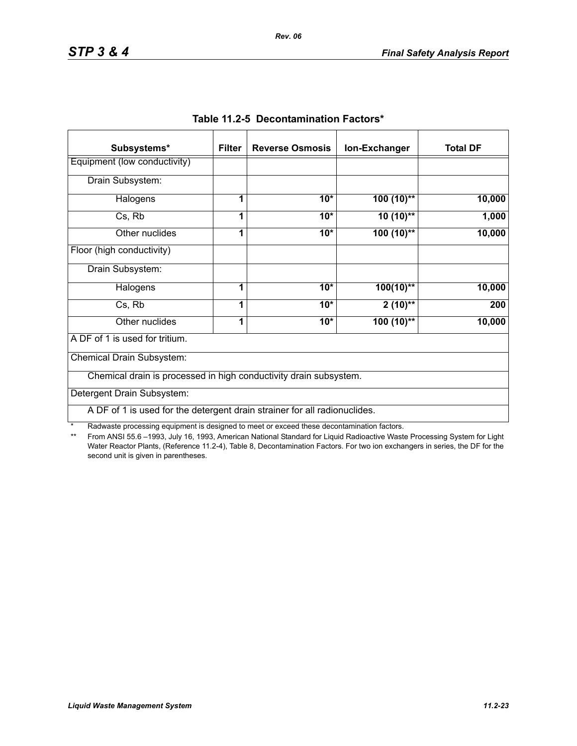| Subsystems*                                                               | <b>Filter</b> | <b>Reverse Osmosis</b> | Ion-Exchanger | <b>Total DF</b> |
|---------------------------------------------------------------------------|---------------|------------------------|---------------|-----------------|
| Equipment (low conductivity)                                              |               |                        |               |                 |
| Drain Subsystem:                                                          |               |                        |               |                 |
| Halogens                                                                  |               | $10*$                  | $100(10)$ **  | 10,000          |
| Cs, Rb                                                                    | 1             | $10*$                  | $10(10)$ **   | 1,000           |
| Other nuclides                                                            | 1             | $10*$                  | $100(10)$ **  | 10,000          |
| Floor (high conductivity)                                                 |               |                        |               |                 |
| Drain Subsystem:                                                          |               |                        |               |                 |
| Halogens                                                                  | 1             | $10*$                  | $100(10)$ **  | 10,000          |
| Cs, Rb                                                                    | 1             | $10*$                  | $2(10)$ **    | 200             |
| Other nuclides                                                            | 1             | $10*$                  | $100(10)$ **  | 10,000          |
| A DF of 1 is used for tritium.                                            |               |                        |               |                 |
| Chemical Drain Subsystem:                                                 |               |                        |               |                 |
| Chemical drain is processed in high conductivity drain subsystem.         |               |                        |               |                 |
| Detergent Drain Subsystem:                                                |               |                        |               |                 |
| A DF of 1 is used for the detergent drain strainer for all radionuclides. |               |                        |               |                 |

|  | Table 11.2-5 Decontamination Factors* |  |
|--|---------------------------------------|--|
|--|---------------------------------------|--|

\* Radwaste processing equipment is designed to meet or exceed these decontamination factors.<br>\*\* From ANSI 55.6 -1993 July 16, 1993 American National Standard for Liquid Radioactive Waste

From ANSI 55.6 –1993, July 16, 1993, American National Standard for Liquid Radioactive Waste Processing System for Light Water Reactor Plants, (Reference 11.2-4), Table 8, Decontamination Factors. For two ion exchangers in series, the DF for the second unit is given in parentheses.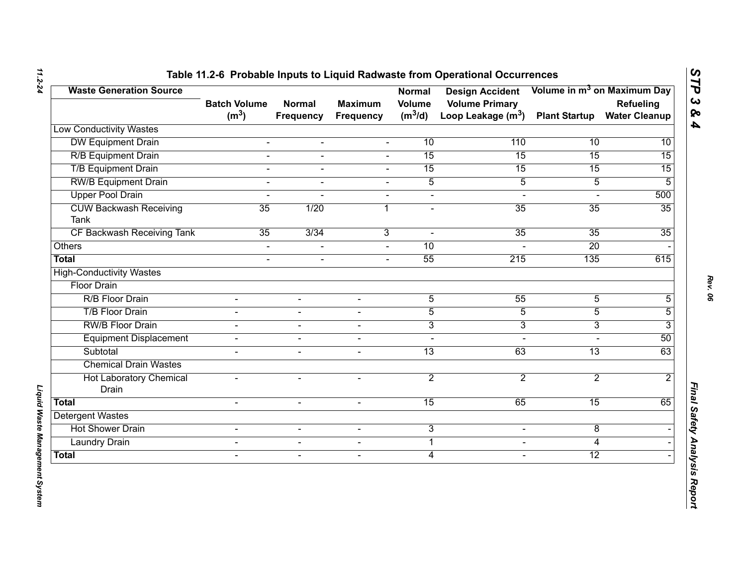| <b>Waste Generation Source</b>               | <b>Batch Volume</b> | <b>Normal</b>    | <b>Maximum</b>           | <b>Normal</b><br><b>Volume</b> | <b>Design Accident</b><br><b>Volume Primary</b> |                      | Volume in m <sup>3</sup> on Maximum Day<br>Refueling |
|----------------------------------------------|---------------------|------------------|--------------------------|--------------------------------|-------------------------------------------------|----------------------|------------------------------------------------------|
|                                              | (m <sup>3</sup> )   | <b>Frequency</b> | <b>Frequency</b>         | $(m^3/d)$                      | Loop Leakage $(m^3)$                            | <b>Plant Startup</b> | <b>Water Cleanup</b>                                 |
| <b>Low Conductivity Wastes</b>               |                     |                  |                          |                                |                                                 |                      |                                                      |
| <b>DW Equipment Drain</b>                    | $\blacksquare$      | $\blacksquare$   | $\blacksquare$           | 10                             | 110                                             | 10                   | 10                                                   |
| <b>R/B Equipment Drain</b>                   | $\overline{a}$      | $\blacksquare$   | $\overline{a}$           | 15                             | 15                                              | 15                   | $\overline{15}$                                      |
| <b>T/B Equipment Drain</b>                   | $\overline{a}$      | $\blacksquare$   | $\mathbf{r}$             | 15                             | 15                                              | 15                   | 15                                                   |
| <b>RW/B Equipment Drain</b>                  | L.                  |                  |                          | $\overline{5}$                 | $\overline{5}$                                  | $\overline{5}$       | 5                                                    |
| <b>Upper Pool Drain</b>                      | $\overline{a}$      |                  | $\blacksquare$           | $\blacksquare$                 | $\blacksquare$                                  |                      | 500                                                  |
| <b>CUW Backwash Receiving</b><br><b>Tank</b> | 35                  | 1/20             | 1                        | $\blacksquare$                 | 35                                              | 35                   | 35                                                   |
| CF Backwash Receiving Tank                   | 35                  | 3/34             | 3                        | $\sim$                         | 35                                              | $\overline{35}$      | 35                                                   |
| Others                                       | $\blacksquare$      |                  |                          | 10                             |                                                 | 20                   |                                                      |
| <b>Total</b>                                 | $\overline{a}$      | $\blacksquare$   | $\sim$                   | 55                             | 215                                             | 135                  | 615                                                  |
| <b>High-Conductivity Wastes</b>              |                     |                  |                          |                                |                                                 |                      |                                                      |
| <b>Floor Drain</b>                           |                     |                  |                          |                                |                                                 |                      |                                                      |
| R/B Floor Drain                              |                     |                  |                          | $\overline{5}$                 | 55                                              | $\overline{5}$       | 5                                                    |
| <b>T/B Floor Drain</b>                       | $\blacksquare$      | $\sim$           | $\blacksquare$           | $\overline{5}$                 | $\overline{5}$                                  | $\overline{5}$       | 5                                                    |
| <b>RW/B Floor Drain</b>                      |                     | $\sim$           | $\overline{\phantom{0}}$ | $\overline{3}$                 | $\overline{3}$                                  | 3                    | 3                                                    |
| <b>Equipment Displacement</b>                | $\blacksquare$      | $\blacksquare$   | $\sim$                   | $\blacksquare$                 | $\sim$                                          | $\overline{a}$       | 50                                                   |
| Subtotal                                     |                     | $\blacksquare$   | $\blacksquare$           | $\overline{13}$                | 63                                              | $\overline{13}$      | 63                                                   |
| <b>Chemical Drain Wastes</b>                 |                     |                  |                          |                                |                                                 |                      |                                                      |
| <b>Hot Laboratory Chemical</b><br>Drain      | $\blacksquare$      | $\sim$           | $\overline{\phantom{0}}$ | $\overline{2}$                 | $\overline{2}$                                  | $\overline{2}$       | $\overline{2}$                                       |
| <b>Total</b>                                 | $\overline{a}$      | $\mathbf{r}$     | $\sim$                   | 15                             | 65                                              | 15                   | 65                                                   |
| <b>Detergent Wastes</b>                      |                     |                  |                          |                                |                                                 |                      |                                                      |
| <b>Hot Shower Drain</b>                      | $\blacksquare$      | $\blacksquare$   | $\blacksquare$           | 3                              | $\blacksquare$                                  | 8                    |                                                      |
| <b>Laundry Drain</b>                         | $\blacksquare$      | $\blacksquare$   | $\blacksquare$           | $\mathbf 1$                    | $\blacksquare$                                  | 4                    |                                                      |
| <b>Total</b>                                 | $\blacksquare$      | $\sim$           | $\overline{\phantom{a}}$ | $\overline{4}$                 | $\blacksquare$                                  | $\overline{12}$      |                                                      |

*Liquid Waste Management System* 

*STP 3 & 4*